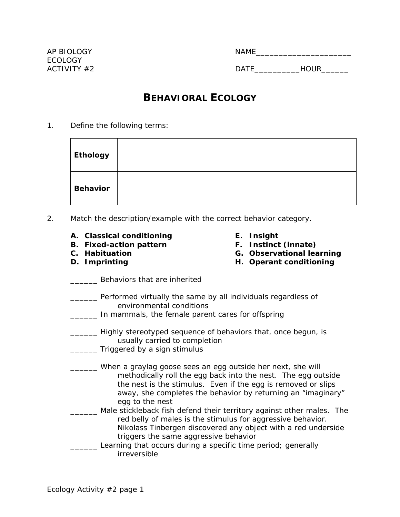| <b>NAME</b> |        |  |
|-------------|--------|--|
|             |        |  |
| <b>DATE</b> | 11011D |  |

## **BEHAVIORAL ECOLOGY**

1. Define the following terms:

| <b>Ethology</b> |  |
|-----------------|--|
| <b>Behavior</b> |  |

- 2. Match the description/example with the correct behavior category.
	- **A. Classical conditioning**
	- **B. Fixed-action pattern**
	- **C. Habituation**
	- **D. Imprinting**
- **E. Insight**
- **F. Instinct (innate)**
- **G. Observational learning**
- **H. Operant conditioning**
- **EXECUTE:** Behaviors that are inherited
- **\_\_\_\_\_\_** Performed virtually the same by all individuals regardless of environmental conditions
- \_\_\_\_\_\_ In mammals, the female parent cares for offspring
- **\_\_\_\_\_** Highly stereotyped sequence of behaviors that, once begun, is usually carried to completion
- **Triggered by a sign stimulus**
- When a graylag goose sees an egg outside her next, she will methodically roll the egg back into the nest. The egg outside the nest is the stimulus. Even if the egg is removed or slips away, she completes the behavior by returning an "imaginary" egg to the nest
- Male stickleback fish defend their territory against other males. The red belly of males is the stimulus for aggressive behavior. Nikolass Tinbergen discovered any object with a red underside triggers the same aggressive behavior
- Learning that occurs during a specific time period; generally irreversible